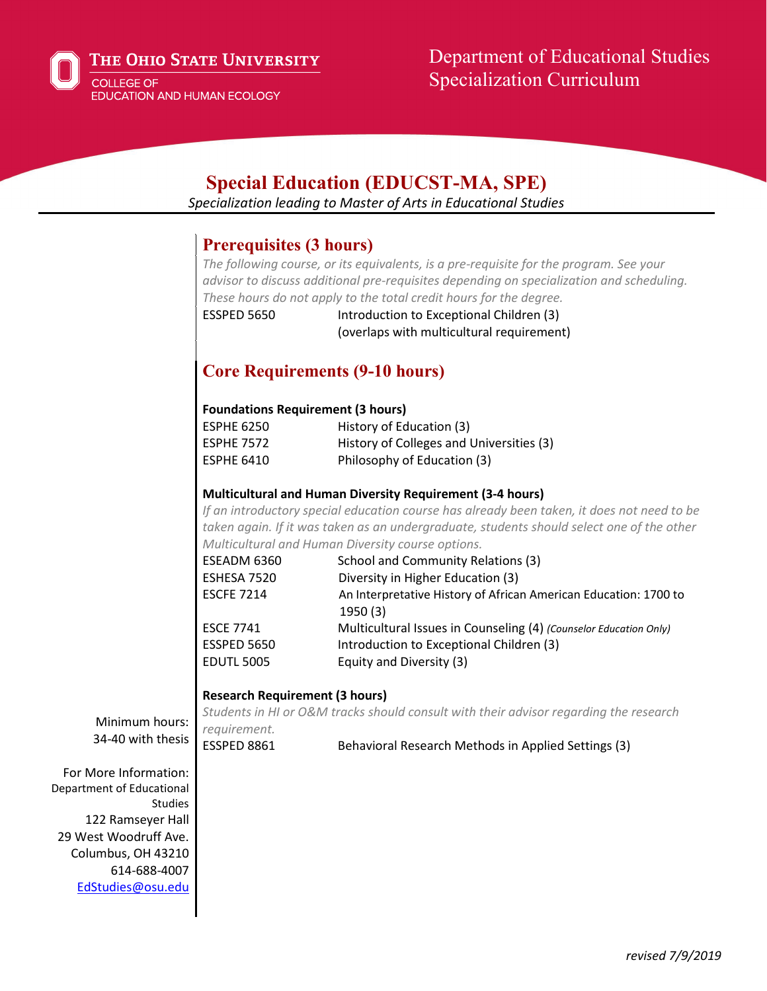

# Department of Educational Studies Specialization Curriculum

# **Special Education (EDUCST-MA, SPE)**

*Specialization leading to Master of Arts in Educational Studies*

## **Prerequisites (3 hours)**

*The following course, or its equivalents, is a pre-requisite for the program. See your advisor to discuss additional pre-requisites depending on specialization and scheduling. These hours do not apply to the total credit hours for the degree.* ESSPED 5650 Introduction to Exceptional Children (3)

(overlaps with multicultural requirement)

# **Core Requirements (9-10 hours)**

#### **Foundations Requirement (3 hours)**

| <b>ESPHE 6250</b> | History of Education (3)                 |
|-------------------|------------------------------------------|
| <b>ESPHE 7572</b> | History of Colleges and Universities (3) |
| <b>ESPHE 6410</b> | Philosophy of Education (3)              |

#### **Multicultural and Human Diversity Requirement (3-4 hours)**

*If an introductory special education course has already been taken, it does not need to be taken again. If it was taken as an undergraduate, students should select one of the other Multicultural and Human Diversity course options.*

| ESEADM 6360       | School and Community Relations (3)                                          |
|-------------------|-----------------------------------------------------------------------------|
| ESHESA 7520       | Diversity in Higher Education (3)                                           |
| <b>ESCFE 7214</b> | An Interpretative History of African American Education: 1700 to<br>1950(3) |
| <b>ESCE 7741</b>  | Multicultural Issues in Counseling (4) (Counselor Education Only)           |
| ESSPED 5650       | Introduction to Exceptional Children (3)                                    |
| <b>EDUTL 5005</b> | Equity and Diversity (3)                                                    |

#### **Research Requirement (3 hours)**

*Students in HI or O&M tracks should consult with their advisor regarding the research requirement.*

Minimum hours: 34-40 with thesis

ESSPED 8861 Behavioral Research Methods in Applied Settings (3)

For More Information: Department of Educational Studies 122 Ramseyer Hall 29 West Woodruff Ave. Columbus, OH 43210 614-688-4007 [EdStudies@osu.edu](mailto:EdStudies@osu.edu)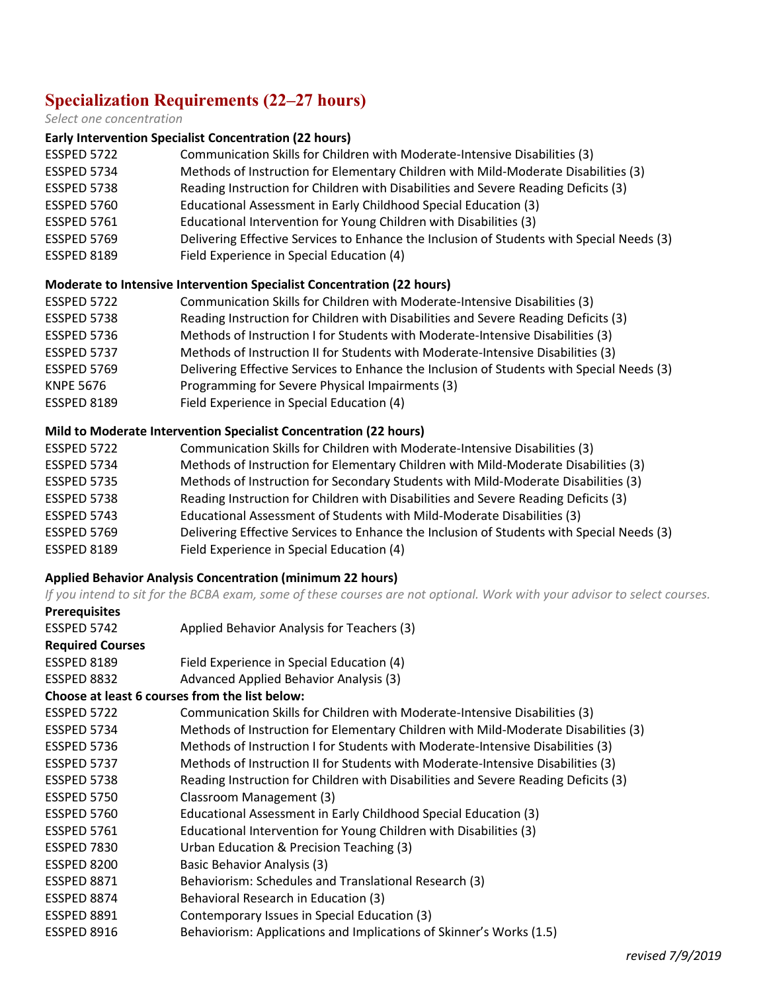# **Specialization Requirements (22–27 hours)**

#### *Select one concentration*

#### **Early Intervention Specialist Concentration (22 hours)**

| ESSPED 5722        | Communication Skills for Children with Moderate-Intensive Disabilities (3)                |
|--------------------|-------------------------------------------------------------------------------------------|
| ESSPED 5734        | Methods of Instruction for Elementary Children with Mild-Moderate Disabilities (3)        |
| ESSPED 5738        | Reading Instruction for Children with Disabilities and Severe Reading Deficits (3)        |
| ESSPED 5760        | Educational Assessment in Early Childhood Special Education (3)                           |
| <b>ESSPED 5761</b> | Educational Intervention for Young Children with Disabilities (3)                         |
| ESSPED 5769        | Delivering Effective Services to Enhance the Inclusion of Students with Special Needs (3) |
| ESSPED 8189        | Field Experience in Special Education (4)                                                 |
|                    |                                                                                           |

#### **Moderate to Intensive Intervention Specialist Concentration (22 hours)**

| ESSPED 5722        | Communication Skills for Children with Moderate-Intensive Disabilities (3)                |
|--------------------|-------------------------------------------------------------------------------------------|
| ESSPED 5738        | Reading Instruction for Children with Disabilities and Severe Reading Deficits (3)        |
| ESSPED 5736        | Methods of Instruction I for Students with Moderate-Intensive Disabilities (3)            |
| ESSPED 5737        | Methods of Instruction II for Students with Moderate-Intensive Disabilities (3)           |
| ESSPED 5769        | Delivering Effective Services to Enhance the Inclusion of Students with Special Needs (3) |
| <b>KNPE 5676</b>   | Programming for Severe Physical Impairments (3)                                           |
| <b>ESSPED 8189</b> | Field Experience in Special Education (4)                                                 |

#### **Mild to Moderate Intervention Specialist Concentration (22 hours)**

| ESSPED 5722        | Communication Skills for Children with Moderate-Intensive Disabilities (3)                |
|--------------------|-------------------------------------------------------------------------------------------|
| ESSPED 5734        | Methods of Instruction for Elementary Children with Mild-Moderate Disabilities (3)        |
| <b>ESSPED 5735</b> | Methods of Instruction for Secondary Students with Mild-Moderate Disabilities (3)         |
| ESSPED 5738        | Reading Instruction for Children with Disabilities and Severe Reading Deficits (3)        |
| ESSPED 5743        | Educational Assessment of Students with Mild-Moderate Disabilities (3)                    |
| ESSPED 5769        | Delivering Effective Services to Enhance the Inclusion of Students with Special Needs (3) |
| <b>ESSPED 8189</b> | Field Experience in Special Education (4)                                                 |

#### **Applied Behavior Analysis Concentration (minimum 22 hours)**

*If you intend to sit for the BCBA exam, some of these courses are not optional. Work with your advisor to select courses.*  **Prerequisites**

| .                       |                                                                                    |
|-------------------------|------------------------------------------------------------------------------------|
| ESSPED 5742             | Applied Behavior Analysis for Teachers (3)                                         |
| <b>Required Courses</b> |                                                                                    |
| ESSPED 8189             | Field Experience in Special Education (4)                                          |
| ESSPED 8832             | Advanced Applied Behavior Analysis (3)                                             |
|                         | Choose at least 6 courses from the list below:                                     |
| ESSPED 5722             | Communication Skills for Children with Moderate-Intensive Disabilities (3)         |
| <b>ESSPED 5734</b>      | Methods of Instruction for Elementary Children with Mild-Moderate Disabilities (3) |
| <b>ESSPED 5736</b>      | Methods of Instruction I for Students with Moderate-Intensive Disabilities (3)     |
| ESSPED 5737             | Methods of Instruction II for Students with Moderate-Intensive Disabilities (3)    |
| ESSPED 5738             | Reading Instruction for Children with Disabilities and Severe Reading Deficits (3) |
| <b>ESSPED 5750</b>      | Classroom Management (3)                                                           |
| ESSPED 5760             | Educational Assessment in Early Childhood Special Education (3)                    |
| <b>ESSPED 5761</b>      | Educational Intervention for Young Children with Disabilities (3)                  |
| ESSPED 7830             | Urban Education & Precision Teaching (3)                                           |
| ESSPED 8200             | Basic Behavior Analysis (3)                                                        |
| <b>ESSPED 8871</b>      | Behaviorism: Schedules and Translational Research (3)                              |
| ESSPED 8874             | Behavioral Research in Education (3)                                               |
| <b>ESSPED 8891</b>      | Contemporary Issues in Special Education (3)                                       |
| ESSPED 8916             | Behaviorism: Applications and Implications of Skinner's Works (1.5)                |
|                         |                                                                                    |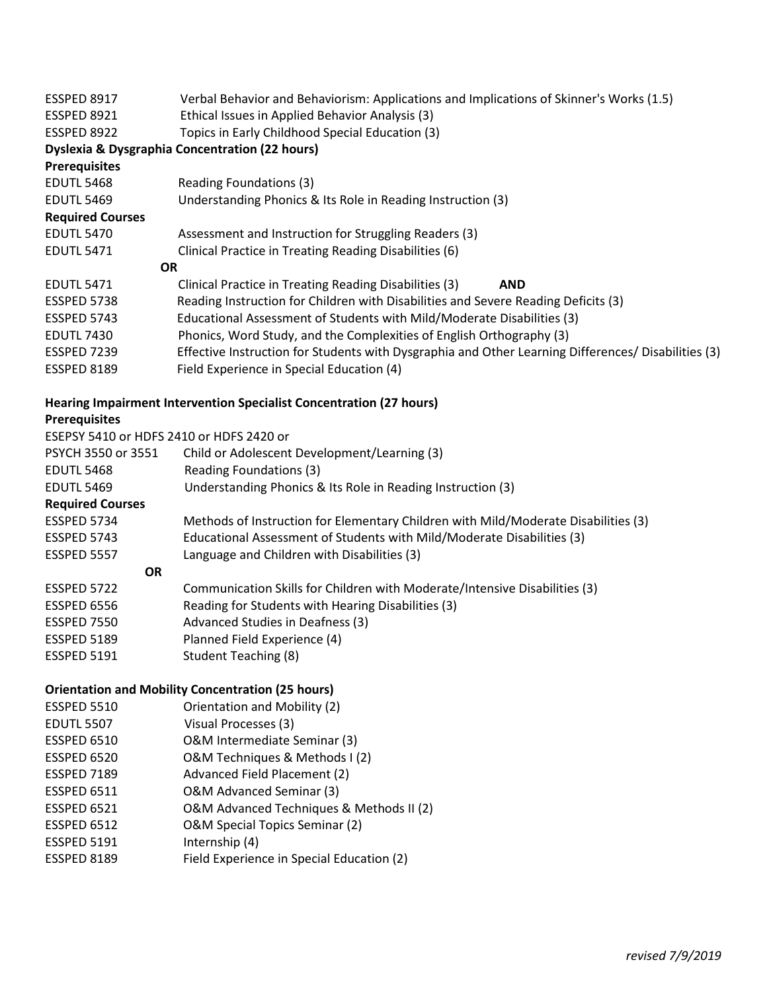| ESSPED 8917             | Verbal Behavior and Behaviorism: Applications and Implications of Skinner's Works (1.5)             |
|-------------------------|-----------------------------------------------------------------------------------------------------|
| ESSPED 8921             | Ethical Issues in Applied Behavior Analysis (3)                                                     |
| ESSPED 8922             | Topics in Early Childhood Special Education (3)                                                     |
|                         | <b>Dyslexia &amp; Dysgraphia Concentration (22 hours)</b>                                           |
| <b>Prerequisites</b>    |                                                                                                     |
| <b>EDUTL 5468</b>       | Reading Foundations (3)                                                                             |
| <b>EDUTL 5469</b>       | Understanding Phonics & Its Role in Reading Instruction (3)                                         |
| <b>Required Courses</b> |                                                                                                     |
| <b>EDUTL 5470</b>       | Assessment and Instruction for Struggling Readers (3)                                               |
| <b>EDUTL 5471</b>       | Clinical Practice in Treating Reading Disabilities (6)                                              |
| <b>OR</b>               |                                                                                                     |
| <b>EDUTL 5471</b>       | Clinical Practice in Treating Reading Disabilities (3)<br><b>AND</b>                                |
| ESSPED 5738             | Reading Instruction for Children with Disabilities and Severe Reading Deficits (3)                  |
| ESSPED 5743             | Educational Assessment of Students with Mild/Moderate Disabilities (3)                              |
| <b>EDUTL 7430</b>       | Phonics, Word Study, and the Complexities of English Orthography (3)                                |
| ESSPED 7239             | Effective Instruction for Students with Dysgraphia and Other Learning Differences/ Disabilities (3) |
| ESSPED 8189             | Field Experience in Special Education (4)                                                           |
|                         |                                                                                                     |

## **Hearing Impairment Intervention Specialist Concentration (27 hours)**

#### **Prerequisites**

ESEPSY 5410 or HDFS 2410 or HDFS 2420 or

| PSYCH 3550 or 3551      | Child or Adolescent Development/Learning (3)                                       |
|-------------------------|------------------------------------------------------------------------------------|
| <b>EDUTL 5468</b>       | Reading Foundations (3)                                                            |
| <b>EDUTL 5469</b>       | Understanding Phonics & Its Role in Reading Instruction (3)                        |
| <b>Required Courses</b> |                                                                                    |
| ESSPED 5734             | Methods of Instruction for Elementary Children with Mild/Moderate Disabilities (3) |
| <b>ESSPED 5743</b>      | Educational Assessment of Students with Mild/Moderate Disabilities (3)             |
| <b>ESSPED 5557</b>      | Language and Children with Disabilities (3)                                        |
| <b>OR</b>               |                                                                                    |
| ESSPED 5722             | Communication Skills for Children with Moderate/Intensive Disabilities (3)         |
| ESSPED 6556             | Reading for Students with Hearing Disabilities (3)                                 |
| ESSPED 7550             | Advanced Studies in Deafness (3)                                                   |
| ESSPED 5189             | Planned Field Experience (4)                                                       |
| <b>ESSPED 5191</b>      | <b>Student Teaching (8)</b>                                                        |

## **Orientation and Mobility Concentration (25 hours)**

| <b>ESSPED 5510</b> | Orientation and Mobility (2)              |
|--------------------|-------------------------------------------|
| <b>EDUTL 5507</b>  | Visual Processes (3)                      |
| <b>ESSPED 6510</b> | O&M Intermediate Seminar (3)              |
| <b>ESSPED 6520</b> | O&M Techniques & Methods I (2)            |
| <b>ESSPED 7189</b> | Advanced Field Placement (2)              |
| <b>ESSPED 6511</b> | O&M Advanced Seminar (3)                  |
| <b>ESSPED 6521</b> | O&M Advanced Techniques & Methods II (2)  |
| <b>ESSPED 6512</b> | O&M Special Topics Seminar (2)            |
| <b>ESSPED 5191</b> | Internship (4)                            |
| <b>ESSPED 8189</b> | Field Experience in Special Education (2) |